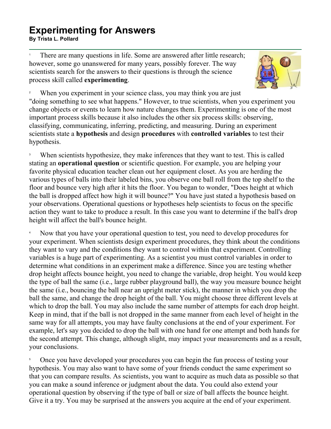## **Experimenting for Answers EXPUTITIUTING TOT AITSWEIS**<br>By Trista L. Pollard

1 There are many questions in life. Some are answered after little research; however, some go unanswered for many years, possibly forever. The way scientists search for the answers to their questions is through the science process skill called **experimenting**.



2 When you experiment in your science class, you may think you are just "doing something to see what happens." However, to true scientists, when you experiment you change objects or events to learn how nature changes them. Experimenting is one of the most important process skills because it also includes the other six process skills: observing, classifying, communicating, inferring, predicting, and measuring. During an experiment scientists state a **hypothesis** and design **procedures** with **controlled variables** to test their hypothesis.

3 When scientists hypothesize, they make inferences that they want to test. This is called stating an **operational question** or scientific question. For example, you are helping your favorite physical education teacher clean out her equipment closet. As you are herding the various types of balls into their labeled bins, you observe one ball roll from the top shelf to the floor and bounce very high after it hits the floor. You began to wonder, "Does height at which the ball is dropped affect how high it will bounce?" You have just stated a hypothesis based on your observations. Operational questions or hypotheses help scientists to focus on the specific action they want to take to produce a result. In this case you want to determine if the ball's drop height will affect the ball's bounce height.

4 Now that you have your operational question to test, you need to develop procedures for your experiment. When scientists design experiment procedures, they think about the conditions they want to vary and the conditions they want to control within that experiment. Controlling variables is a huge part of experimenting. As a scientist you must control variables in order to determine what conditions in an experiment make a difference. Since you are testing whether drop height affects bounce height, you need to change the variable, drop height. You would keep the type of ball the same (i.e., large rubber playground ball), the way you measure bounce height the same (i.e., bouncing the ball near an upright meter stick), the manner in which you drop the ball the same, and change the drop height of the ball. You might choose three different levels at which to drop the ball. You may also include the same number of attempts for each drop height. Keep in mind, that if the ball is not dropped in the same manner from each level of height in the same way for all attempts, you may have faulty conclusions at the end of your experiment. For example, let's say you decided to drop the ball with one hand for one attempt and both hands for the second attempt. This change, although slight, may impact your measurements and as a result, your conclusions.

5 Once you have developed your procedures you can begin the fun process of testing your hypothesis. You may also want to have some of your friends conduct the same experiment so that you can compare results. As scientists, you want to acquire as much data as possible so that you can make a sound inference or judgment about the data. You could also extend your operational question by observing if the type of ball or size of ball affects the bounce height. Give it a try. You may be surprised at the answers you acquire at the end of your experiment.